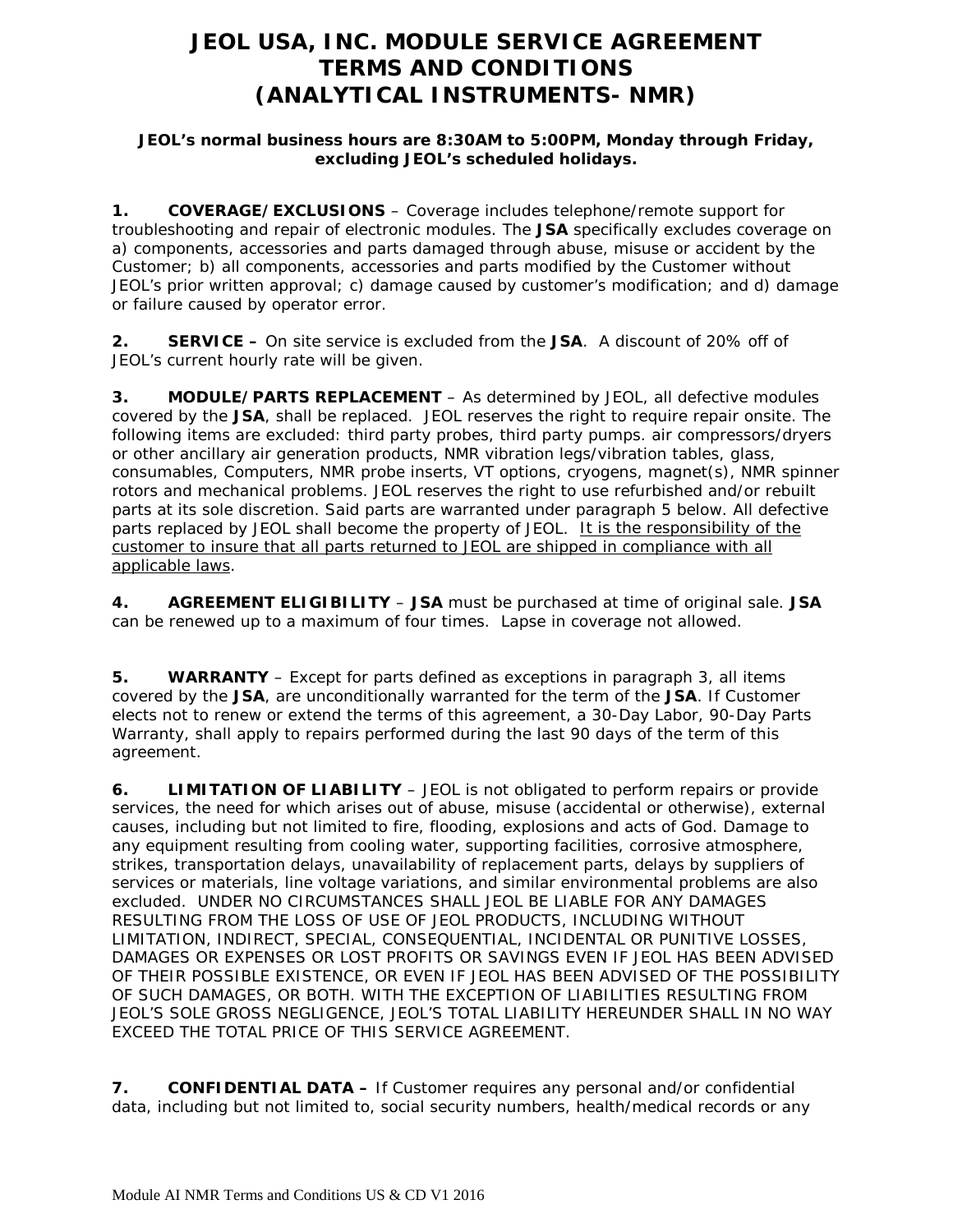## **JEOL USA, INC. MODULE SERVICE AGREEMENT TERMS AND CONDITIONS (ANALYTICAL INSTRUMENTS- NMR)**

## **JEOL's normal business hours are 8:30AM to 5:00PM, Monday through Friday, excluding JEOL's scheduled holidays.**

**1. COVERAGE/EXCLUSIONS** – Coverage includes telephone/remote support for troubleshooting and repair of electronic modules. The **JSA** specifically excludes coverage on a) components, accessories and parts damaged through abuse, misuse or accident by the Customer; b) all components, accessories and parts modified by the Customer without JEOL's prior written approval; c) damage caused by customer's modification; and d) damage or failure caused by operator error.

**2. SERVICE –** On site service is excluded from the **JSA**. A discount of 20% off of JEOL's current hourly rate will be given.

**3. MODULE/PARTS REPLACEMENT** – As determined by JEOL, all defective modules covered by the **JSA**, shall be replaced. JEOL reserves the right to require repair onsite. The following items are excluded: third party probes, third party pumps. air compressors/dryers or other ancillary air generation products, NMR vibration legs/vibration tables, glass, consumables, Computers, NMR probe inserts, VT options, cryogens, magnet(s), NMR spinner rotors and mechanical problems. JEOL reserves the right to use refurbished and/or rebuilt parts at its sole discretion. Said parts are warranted under paragraph 5 below. All defective parts replaced by JEOL shall become the property of JEOL. It is the responsibility of the customer to insure that all parts returned to JEOL are shipped in compliance with all applicable laws.

**4. AGREEMENT ELIGIBILITY** – **JSA** must be purchased at time of original sale. **JSA** can be renewed up to a maximum of four times. Lapse in coverage not allowed.

**5. WARRANTY** – Except for parts defined as exceptions in paragraph 3, all items covered by the **JSA**, are unconditionally warranted for the term of the **JSA**. If Customer elects not to renew or extend the terms of this agreement, a 30-Day Labor, 90-Day Parts Warranty, shall apply to repairs performed during the last 90 days of the term of this agreement.

**6. LIMITATION OF LIABILITY** – JEOL is not obligated to perform repairs or provide services, the need for which arises out of abuse, misuse (accidental or otherwise), external causes, including but not limited to fire, flooding, explosions and acts of God. Damage to any equipment resulting from cooling water, supporting facilities, corrosive atmosphere, strikes, transportation delays, unavailability of replacement parts, delays by suppliers of services or materials, line voltage variations, and similar environmental problems are also excluded. UNDER NO CIRCUMSTANCES SHALL JEOL BE LIABLE FOR ANY DAMAGES RESULTING FROM THE LOSS OF USE OF JEOL PRODUCTS, INCLUDING WITHOUT LIMITATION, INDIRECT, SPECIAL, CONSEQUENTIAL, INCIDENTAL OR PUNITIVE LOSSES, DAMAGES OR EXPENSES OR LOST PROFITS OR SAVINGS EVEN IF JEOL HAS BEEN ADVISED OF THEIR POSSIBLE EXISTENCE, OR EVEN IF JEOL HAS BEEN ADVISED OF THE POSSIBILITY OF SUCH DAMAGES, OR BOTH. WITH THE EXCEPTION OF LIABILITIES RESULTING FROM JEOL'S SOLE GROSS NEGLIGENCE, JEOL'S TOTAL LIABILITY HEREUNDER SHALL IN NO WAY EXCEED THE TOTAL PRICE OF THIS SERVICE AGREEMENT.

**7. CONFIDENTIAL DATA –** If Customer requires any personal and/or confidential data, including but not limited to, social security numbers, health/medical records or any